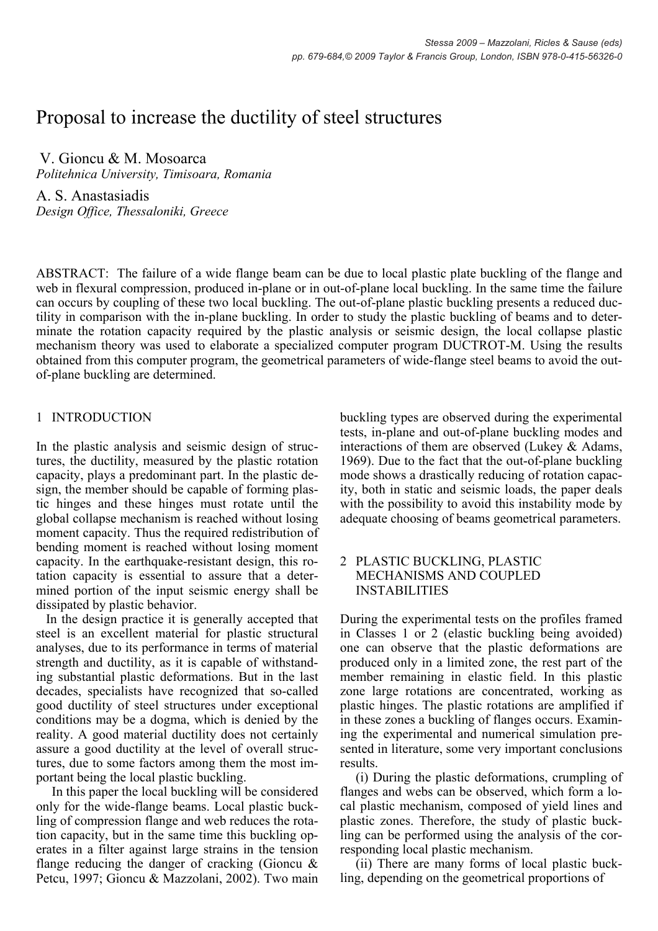# Proposal to increase the ductility of steel structures

 V. Gioncu & M. Mosoarca *Politehnica University, Timisoara, Romania* 

A. S. Anastasiadis *Design Office, Thessaloniki, Greece* 

ABSTRACT: The failure of a wide flange beam can be due to local plastic plate buckling of the flange and web in flexural compression, produced in-plane or in out-of-plane local buckling. In the same time the failure can occurs by coupling of these two local buckling. The out-of-plane plastic buckling presents a reduced ductility in comparison with the in-plane buckling. In order to study the plastic buckling of beams and to determinate the rotation capacity required by the plastic analysis or seismic design, the local collapse plastic mechanism theory was used to elaborate a specialized computer program DUCTROT-M. Using the results obtained from this computer program, the geometrical parameters of wide-flange steel beams to avoid the outof-plane buckling are determined.

# 1 INTRODUCTION

In the plastic analysis and seismic design of structures, the ductility, measured by the plastic rotation capacity, plays a predominant part. In the plastic design, the member should be capable of forming plastic hinges and these hinges must rotate until the global collapse mechanism is reached without losing moment capacity. Thus the required redistribution of bending moment is reached without losing moment capacity. In the earthquake-resistant design, this rotation capacity is essential to assure that a determined portion of the input seismic energy shall be dissipated by plastic behavior.

In the design practice it is generally accepted that steel is an excellent material for plastic structural analyses, due to its performance in terms of material strength and ductility, as it is capable of withstanding substantial plastic deformations. But in the last decades, specialists have recognized that so-called good ductility of steel structures under exceptional conditions may be a dogma, which is denied by the reality. A good material ductility does not certainly assure a good ductility at the level of overall structures, due to some factors among them the most important being the local plastic buckling.

In this paper the local buckling will be considered only for the wide-flange beams. Local plastic buckling of compression flange and web reduces the rotation capacity, but in the same time this buckling operates in a filter against large strains in the tension flange reducing the danger of cracking (Gioncu & Petcu, 1997; Gioncu & Mazzolani, 2002). Two main buckling types are observed during the experimental tests, in-plane and out-of-plane buckling modes and interactions of them are observed (Lukey & Adams, 1969). Due to the fact that the out-of-plane buckling mode shows a drastically reducing of rotation capacity, both in static and seismic loads, the paper deals with the possibility to avoid this instability mode by adequate choosing of beams geometrical parameters.

## 2 PLASTIC BUCKLING, PLASTIC MECHANISMS AND COUPLED INSTABILITIES

During the experimental tests on the profiles framed in Classes 1 or 2 (elastic buckling being avoided) one can observe that the plastic deformations are produced only in a limited zone, the rest part of the member remaining in elastic field. In this plastic zone large rotations are concentrated, working as plastic hinges. The plastic rotations are amplified if in these zones a buckling of flanges occurs. Examining the experimental and numerical simulation presented in literature, some very important conclusions results.

(i) During the plastic deformations, crumpling of flanges and webs can be observed, which form a local plastic mechanism, composed of yield lines and plastic zones. Therefore, the study of plastic buckling can be performed using the analysis of the corresponding local plastic mechanism.

(ii) There are many forms of local plastic buckling, depending on the geometrical proportions of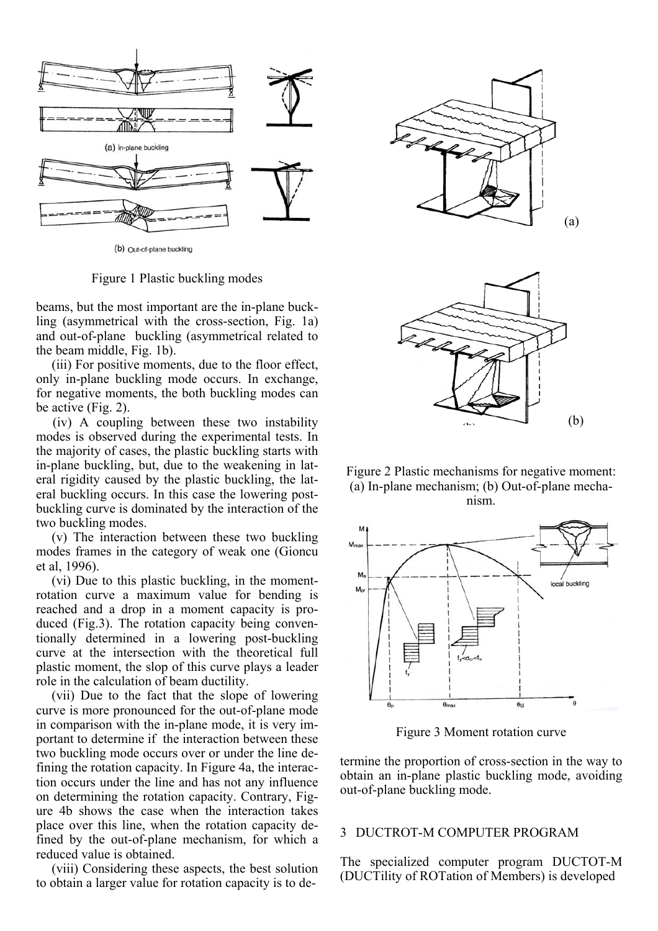

(b) Out-of-plane buckling

Figure 1 Plastic buckling modes

beams, but the most important are the in-plane buckling (asymmetrical with the cross-section, Fig. 1a) and out-of-plane buckling (asymmetrical related to the beam middle, Fig. 1b).

(iii) For positive moments, due to the floor effect, only in-plane buckling mode occurs. In exchange, for negative moments, the both buckling modes can be active (Fig. 2).

 (iv) A coupling between these two instability modes is observed during the experimental tests. In the majority of cases, the plastic buckling starts with in-plane buckling, but, due to the weakening in lateral rigidity caused by the plastic buckling, the lateral buckling occurs. In this case the lowering postbuckling curve is dominated by the interaction of the two buckling modes.

(v) The interaction between these two buckling modes frames in the category of weak one (Gioncu et al, 1996).

(vi) Due to this plastic buckling, in the momentrotation curve a maximum value for bending is reached and a drop in a moment capacity is produced (Fig.3). The rotation capacity being conventionally determined in a lowering post-buckling curve at the intersection with the theoretical full plastic moment, the slop of this curve plays a leader role in the calculation of beam ductility.

(vii) Due to the fact that the slope of lowering curve is more pronounced for the out-of-plane mode in comparison with the in-plane mode, it is very important to determine if the interaction between these two buckling mode occurs over or under the line defining the rotation capacity. In Figure 4a, the interaction occurs under the line and has not any influence on determining the rotation capacity. Contrary, Figure 4b shows the case when the interaction takes place over this line, when the rotation capacity defined by the out-of-plane mechanism, for which a reduced value is obtained.

(viii) Considering these aspects, the best solution to obtain a larger value for rotation capacity is to de-





Figure 2 Plastic mechanisms for negative moment: (a) In-plane mechanism; (b) Out-of-plane mechanism.



Figure 3 Moment rotation curve

termine the proportion of cross-section in the way to obtain an in-plane plastic buckling mode, avoiding out-of-plane buckling mode.

#### 3 DUCTROT-M COMPUTER PROGRAM

The specialized computer program DUCTOT-M (DUCTility of ROTation of Members) is developed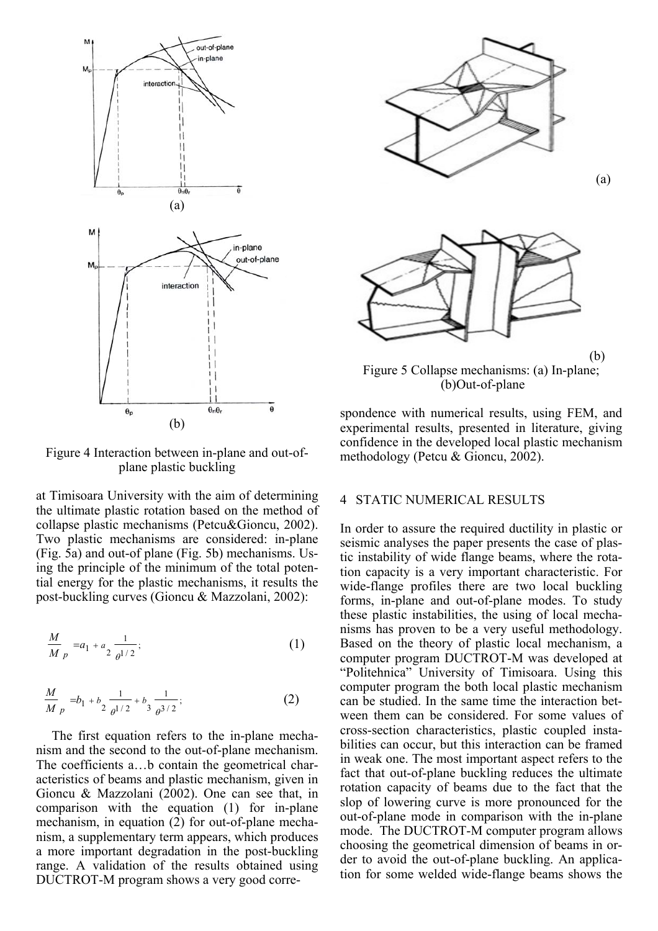

Figure 4 Interaction between in-plane and out-ofplane plastic buckling

at Timisoara University with the aim of determining the ultimate plastic rotation based on the method of collapse plastic mechanisms (Petcu&Gioncu, 2002). Two plastic mechanisms are considered: in-plane (Fig. 5a) and out-of plane (Fig. 5b) mechanisms. Using the principle of the minimum of the total potential energy for the plastic mechanisms, it results the post-buckling curves (Gioncu & Mazzolani, 2002):

$$
\frac{M}{M_p} = a_1 + a_2 \frac{1}{\theta^{1/2}};
$$
\n(1)

$$
\frac{M}{M_p} = b_1 + b_2 \frac{1}{\theta^{1/2}} + b_3 \frac{1}{\theta^{3/2}};
$$
 (2)

The first equation refers to the in-plane mechanism and the second to the out-of-plane mechanism. The coefficients a…b contain the geometrical characteristics of beams and plastic mechanism, given in Gioncu & Mazzolani (2002). One can see that, in comparison with the equation (1) for in-plane mechanism, in equation (2) for out-of-plane mechanism, a supplementary term appears, which produces a more important degradation in the post-buckling range. A validation of the results obtained using DUCTROT-M program shows a very good corre-



Figure 5 Collapse mechanisms: (a) In-plane; (b)Out-of-plane

spondence with numerical results, using FEM, and experimental results, presented in literature, giving confidence in the developed local plastic mechanism methodology (Petcu & Gioncu, 2002).

#### 4 STATIC NUMERICAL RESULTS

In order to assure the required ductility in plastic or seismic analyses the paper presents the case of plastic instability of wide flange beams, where the rotation capacity is a very important characteristic. For wide-flange profiles there are two local buckling forms, in-plane and out-of-plane modes. To study these plastic instabilities, the using of local mechanisms has proven to be a very useful methodology. Based on the theory of plastic local mechanism, a computer program DUCTROT-M was developed at "Politehnica" University of Timisoara. Using this computer program the both local plastic mechanism can be studied. In the same time the interaction between them can be considered. For some values of cross-section characteristics, plastic coupled instabilities can occur, but this interaction can be framed in weak one. The most important aspect refers to the fact that out-of-plane buckling reduces the ultimate rotation capacity of beams due to the fact that the slop of lowering curve is more pronounced for the out-of-plane mode in comparison with the in-plane mode. The DUCTROT-M computer program allows choosing the geometrical dimension of beams in order to avoid the out-of-plane buckling. An application for some welded wide-flange beams shows the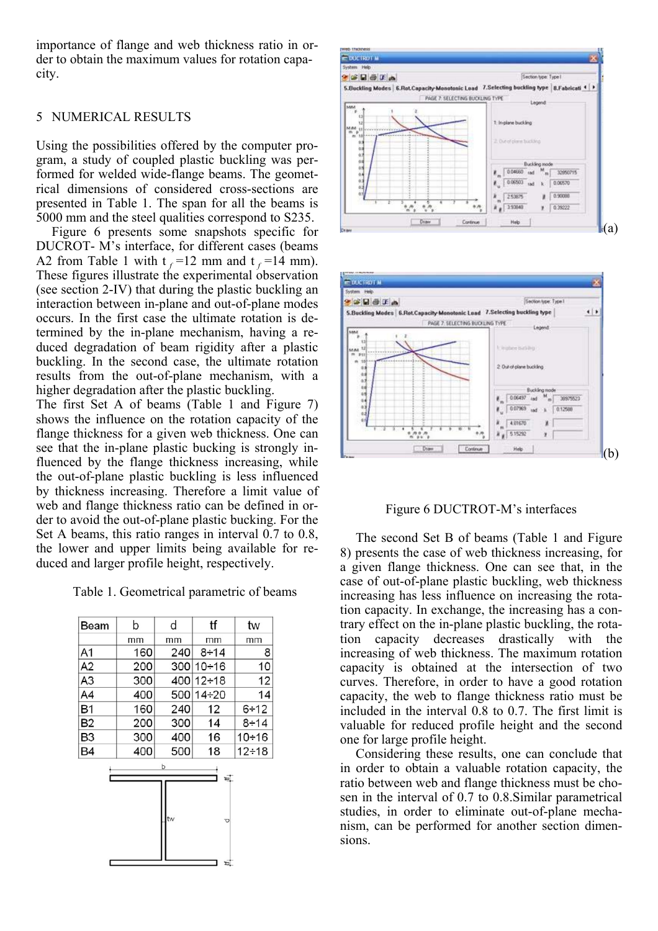importance of flange and web thickness ratio in order to obtain the maximum values for rotation capacity.

## 5 NUMERICAL RESULTS

Using the possibilities offered by the computer program, a study of coupled plastic buckling was performed for welded wide-flange beams. The geometrical dimensions of considered cross-sections are presented in Table 1. The span for all the beams is 5000 mm and the steel qualities correspond to S235.

Figure 6 presents some snapshots specific for DUCROT- M's interface, for different cases (beams A2 from Table 1 with  $t_f$ =12 mm and  $t_f$ =14 mm). These figures illustrate the experimental observation (see section 2-IV) that during the plastic buckling an interaction between in-plane and out-of-plane modes occurs. In the first case the ultimate rotation is determined by the in-plane mechanism, having a reduced degradation of beam rigidity after a plastic buckling. In the second case, the ultimate rotation results from the out-of-plane mechanism, with a higher degradation after the plastic buckling.

The first Set A of beams (Table 1 and Figure 7) shows the influence on the rotation capacity of the flange thickness for a given web thickness. One can see that the in-plane plastic bucking is strongly influenced by the flange thickness increasing, while the out-of-plane plastic buckling is less influenced by thickness increasing. Therefore a limit value of web and flange thickness ratio can be defined in order to avoid the out-of-plane plastic bucking. For the Set A beams, this ratio ranges in interval 0.7 to 0.8, the lower and upper limits being available for reduced and larger profile height, respectively.

Table 1. Geometrical parametric of beams







The second Set B of beams (Table 1 and Figure 8) presents the case of web thickness increasing, for a given flange thickness. One can see that, in the case of out-of-plane plastic buckling, web thickness increasing has less influence on increasing the rotation capacity. In exchange, the increasing has a contrary effect on the in-plane plastic buckling, the rotation capacity decreases drastically with the increasing of web thickness. The maximum rotation capacity is obtained at the intersection of two curves. Therefore, in order to have a good rotation capacity, the web to flange thickness ratio must be included in the interval 0.8 to 0.7. The first limit is valuable for reduced profile height and the second one for large profile height.

Considering these results, one can conclude that in order to obtain a valuable rotation capacity, the ratio between web and flange thickness must be chosen in the interval of 0.7 to 0.8.Similar parametrical studies, in order to eliminate out-of-plane mechanism, can be performed for another section dimensions.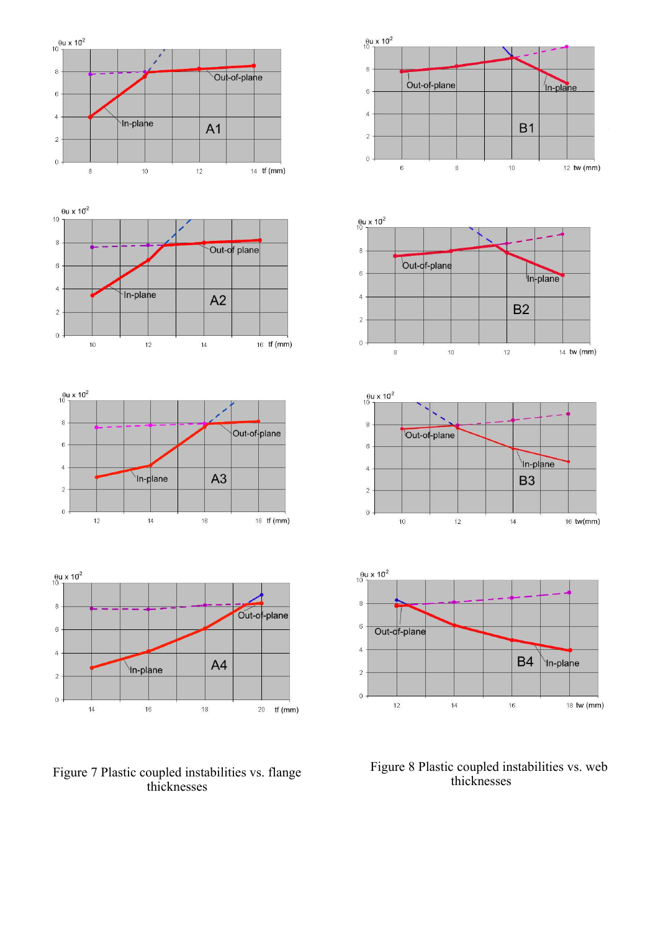

Figure 7 Plastic coupled instabilities vs. flange thicknesses



Figure 8 Plastic coupled instabilities vs. web thicknesses